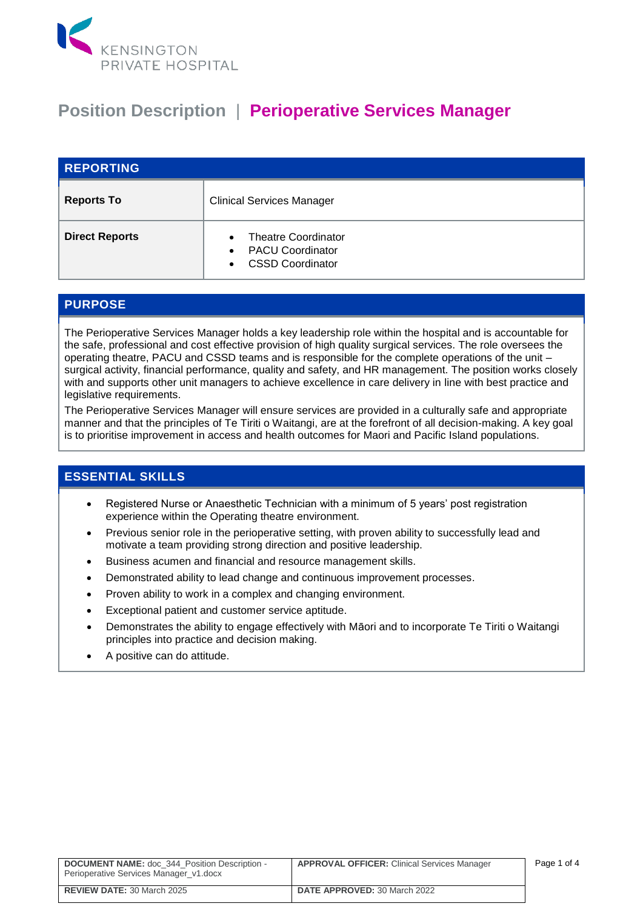

## **Position Description** | **Perioperative Services Manager**

| <b>REPORTING</b>      |                                                                                                                         |
|-----------------------|-------------------------------------------------------------------------------------------------------------------------|
| <b>Reports To</b>     | <b>Clinical Services Manager</b>                                                                                        |
| <b>Direct Reports</b> | <b>Theatre Coordinator</b><br>$\bullet$<br><b>PACU Coordinator</b><br>$\bullet$<br><b>CSSD Coordinator</b><br>$\bullet$ |

## **PURPOSE**

The Perioperative Services Manager holds a key leadership role within the hospital and is accountable for the safe, professional and cost effective provision of high quality surgical services. The role oversees the operating theatre, PACU and CSSD teams and is responsible for the complete operations of the unit – surgical activity, financial performance, quality and safety, and HR management. The position works closely with and supports other unit managers to achieve excellence in care delivery in line with best practice and legislative requirements.

The Perioperative Services Manager will ensure services are provided in a culturally safe and appropriate manner and that the principles of Te Tiriti o Waitangi, are at the forefront of all decision-making. A key goal is to prioritise improvement in access and health outcomes for Maori and Pacific Island populations.

## **ESSENTIAL SKILLS**

- Registered Nurse or Anaesthetic Technician with a minimum of 5 years' post registration experience within the Operating theatre environment.
- Previous senior role in the perioperative setting, with proven ability to successfully lead and motivate a team providing strong direction and positive leadership.
- Business acumen and financial and resource management skills.
- Demonstrated ability to lead change and continuous improvement processes.
- Proven ability to work in a complex and changing environment.
- Exceptional patient and customer service aptitude.
- Demonstrates the ability to engage effectively with Māori and to incorporate Te Tiriti o Waitangi principles into practice and decision making.
- A positive can do attitude.

| <b>DOCUMENT NAME:</b> doc 344 Position Description -<br>Perioperative Services Manager v1.docx | <b>APPROVAL OFFICER:</b> Clinical Services Manager | Page 1 of 4 |
|------------------------------------------------------------------------------------------------|----------------------------------------------------|-------------|
| <b>REVIEW DATE: 30 March 2025</b>                                                              | <b>DATE APPROVED: 30 March 2022</b>                |             |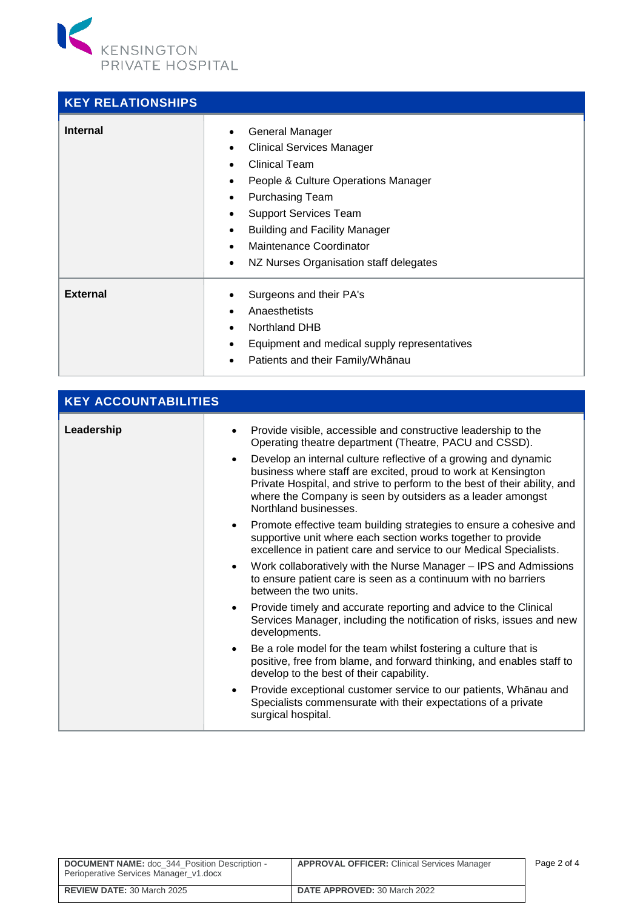

| <b>KEY RELATIONSHIPS</b> |                                                                                                                                                                                                                                                                                                                                                                 |
|--------------------------|-----------------------------------------------------------------------------------------------------------------------------------------------------------------------------------------------------------------------------------------------------------------------------------------------------------------------------------------------------------------|
| <b>Internal</b>          | General Manager<br><b>Clinical Services Manager</b><br>$\bullet$<br><b>Clinical Team</b><br>People & Culture Operations Manager<br>$\bullet$<br><b>Purchasing Team</b><br>$\bullet$<br><b>Support Services Team</b><br>$\bullet$<br><b>Building and Facility Manager</b><br>٠<br>Maintenance Coordinator<br>NZ Nurses Organisation staff delegates<br>$\bullet$ |
| <b>External</b>          | Surgeons and their PA's<br>Anaesthetists<br><b>Northland DHB</b><br>Equipment and medical supply representatives<br>$\bullet$<br>Patients and their Family/Whānau                                                                                                                                                                                               |

| <b>KEY ACCOUNTABILITIES</b> |                                                                                                                                                                                                                                                                                                                                                                                                                                                                                                                                                                                                                                                                                                                                                                                                                                                                                                                                                                                                                                                                                                                                                                                                                                                                                                                                                                                                 |  |
|-----------------------------|-------------------------------------------------------------------------------------------------------------------------------------------------------------------------------------------------------------------------------------------------------------------------------------------------------------------------------------------------------------------------------------------------------------------------------------------------------------------------------------------------------------------------------------------------------------------------------------------------------------------------------------------------------------------------------------------------------------------------------------------------------------------------------------------------------------------------------------------------------------------------------------------------------------------------------------------------------------------------------------------------------------------------------------------------------------------------------------------------------------------------------------------------------------------------------------------------------------------------------------------------------------------------------------------------------------------------------------------------------------------------------------------------|--|
| Leadership                  | Provide visible, accessible and constructive leadership to the<br>Operating theatre department (Theatre, PACU and CSSD).<br>Develop an internal culture reflective of a growing and dynamic<br>$\bullet$<br>business where staff are excited, proud to work at Kensington<br>Private Hospital, and strive to perform to the best of their ability, and<br>where the Company is seen by outsiders as a leader amongst<br>Northland businesses.<br>Promote effective team building strategies to ensure a cohesive and<br>supportive unit where each section works together to provide<br>excellence in patient care and service to our Medical Specialists.<br>Work collaboratively with the Nurse Manager - IPS and Admissions<br>$\bullet$<br>to ensure patient care is seen as a continuum with no barriers<br>between the two units.<br>Provide timely and accurate reporting and advice to the Clinical<br>$\bullet$<br>Services Manager, including the notification of risks, issues and new<br>developments.<br>Be a role model for the team whilst fostering a culture that is<br>$\bullet$<br>positive, free from blame, and forward thinking, and enables staff to<br>develop to the best of their capability.<br>Provide exceptional customer service to our patients, Whānau and<br>$\bullet$<br>Specialists commensurate with their expectations of a private<br>surgical hospital. |  |
|                             |                                                                                                                                                                                                                                                                                                                                                                                                                                                                                                                                                                                                                                                                                                                                                                                                                                                                                                                                                                                                                                                                                                                                                                                                                                                                                                                                                                                                 |  |

| <b>DOCUMENT NAME:</b> doc 344 Position Description -<br>Perioperative Services Manager_v1.docx | <b>APPROVAL OFFICER:</b> Clinical Services Manager | Page 2 of 4 |
|------------------------------------------------------------------------------------------------|----------------------------------------------------|-------------|
| <b>REVIEW DATE: 30 March 2025</b>                                                              | <b>DATE APPROVED: 30 March 2022</b>                |             |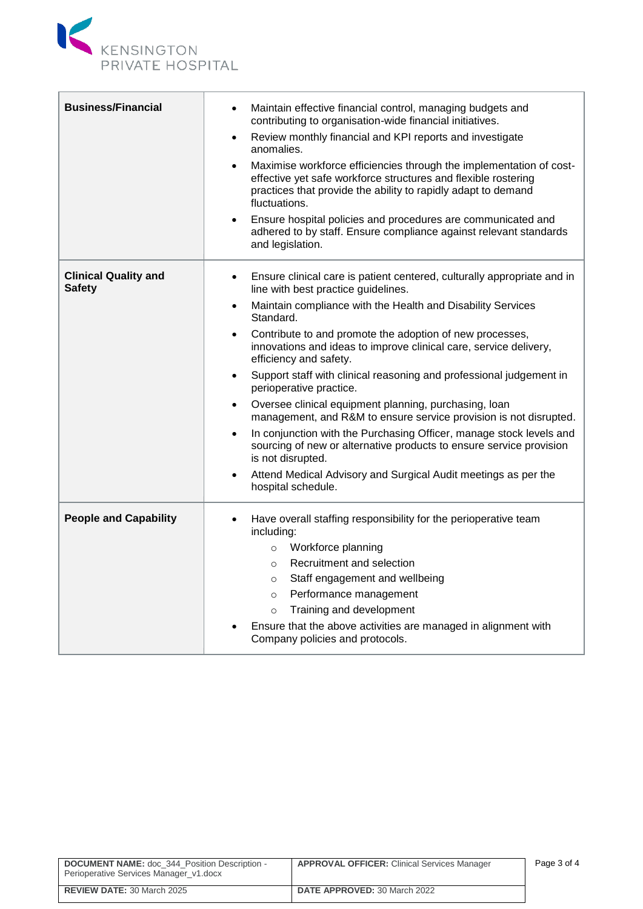

| <b>Business/Financial</b>                    | Maintain effective financial control, managing budgets and<br>$\bullet$<br>contributing to organisation-wide financial initiatives.<br>Review monthly financial and KPI reports and investigate<br>٠<br>anomalies.<br>Maximise workforce efficiencies through the implementation of cost-<br>$\bullet$<br>effective yet safe workforce structures and flexible rostering<br>practices that provide the ability to rapidly adapt to demand<br>fluctuations.<br>Ensure hospital policies and procedures are communicated and<br>adhered to by staff. Ensure compliance against relevant standards<br>and legislation.                                                                                                                                                                                                                                                                                                 |
|----------------------------------------------|---------------------------------------------------------------------------------------------------------------------------------------------------------------------------------------------------------------------------------------------------------------------------------------------------------------------------------------------------------------------------------------------------------------------------------------------------------------------------------------------------------------------------------------------------------------------------------------------------------------------------------------------------------------------------------------------------------------------------------------------------------------------------------------------------------------------------------------------------------------------------------------------------------------------|
| <b>Clinical Quality and</b><br><b>Safety</b> | Ensure clinical care is patient centered, culturally appropriate and in<br>٠<br>line with best practice guidelines.<br>Maintain compliance with the Health and Disability Services<br>٠<br>Standard.<br>Contribute to and promote the adoption of new processes,<br>$\bullet$<br>innovations and ideas to improve clinical care, service delivery,<br>efficiency and safety.<br>Support staff with clinical reasoning and professional judgement in<br>$\bullet$<br>perioperative practice.<br>Oversee clinical equipment planning, purchasing, loan<br>٠<br>management, and R&M to ensure service provision is not disrupted.<br>In conjunction with the Purchasing Officer, manage stock levels and<br>$\bullet$<br>sourcing of new or alternative products to ensure service provision<br>is not disrupted.<br>Attend Medical Advisory and Surgical Audit meetings as per the<br>$\bullet$<br>hospital schedule. |
| <b>People and Capability</b>                 | Have overall staffing responsibility for the perioperative team<br>including:<br>Workforce planning<br>$\circ$<br>Recruitment and selection<br>$\circ$<br>Staff engagement and wellbeing<br>$\circ$<br>Performance management<br>$\circ$<br>Training and development<br>$\circ$<br>Ensure that the above activities are managed in alignment with<br>Company policies and protocols.                                                                                                                                                                                                                                                                                                                                                                                                                                                                                                                                |

Ĥ.

| <b>DOCUMENT NAME:</b> doc 344 Position Description -<br>Perioperative Services Manager v1.docx | <b>APPROVAL OFFICER:</b> Clinical Services Manager | Page 3 of 4 |
|------------------------------------------------------------------------------------------------|----------------------------------------------------|-------------|
| <b>REVIEW DATE: 30 March 2025</b>                                                              | <b>DATE APPROVED: 30 March 2022</b>                |             |